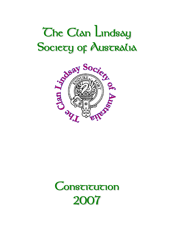# **The Clan Lindsay**



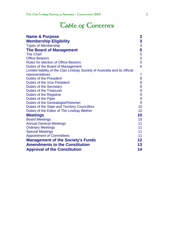# **Table of Contents**

| <b>Name &amp; Purpose</b>                                                   | 3              |
|-----------------------------------------------------------------------------|----------------|
| <b>Membership Eligibility</b>                                               | 3              |
| <b>Types of Membership</b>                                                  | $\overline{4}$ |
| <b>The Board of Management</b>                                              | 5              |
| <b>The Chief</b>                                                            | 5              |
| <b>Office-Bearers</b>                                                       | 5              |
| <b>Rules for election of Office-Bearers</b>                                 | 5              |
| Duties of the Board of Management                                           | 6              |
| Limited liability of the Clan Lindsay Society of Australia and its official |                |
| representatives                                                             | 7              |
| <b>Duties of the President</b>                                              | 8              |
| <b>Duties of the Vice President</b>                                         | 8              |
| <b>Duties of the Secretary</b>                                              | 8              |
| <b>Duties of the Treasurer</b>                                              | 9              |
| Duties of the Registrar                                                     | 9              |
| Duties of the Piper                                                         | 9              |
| Duties of the Genealogist/Historian                                         | 9              |
| Duties of the State and Territory Councillors                               | 10             |
| Duties of the Editor of The Lindsay Blether                                 | 10             |
| <b>Meetings</b>                                                             | 10             |
| <b>Board Meetings</b>                                                       | 10             |
| <b>Annual General Meetings</b>                                              | 11             |
| <b>Ordinary Meetings</b>                                                    | 11             |
| <b>Special Meetings</b>                                                     | 11             |
| <b>Appointment of Committees</b>                                            | 11             |
| <b>Management of the Society's Funds</b>                                    | 12             |
| <b>Amendments to the Constitution</b>                                       | 13             |
| <b>Approval of the Constitution</b>                                         | 14             |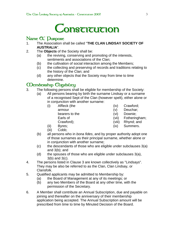

# **Name & Durpose**<br>1. The Association sl

- 1. The Association shall be called "**THE CLAN LINDSAY SOCIETY OF AUSTRALIA**".
- 2. The **Objects** of the Society shall be:
	- (a) the reviving, conserving and promoting of the interests, sentiments and associations of the Clan;
	- (b) the cultivation of social interaction among the Members;
	- (c) the collecting and preserving of records and traditions relating to the history of the Clan; and
	- (d) any other objects that the Society may from time to time determine.

# **Membership Eligibility**

- 3. The following persons shall be eligible for membership of the Society:
	- (a) All persons bearing by birth the surname Lindsay or a surname of a recognised Sept of the Clan (however spelt), either alone or in conjunction with another surname:
		- (i) Affleck (the armour bearers to the Earls of

Crawford);

- (iv) Crawford;
- (v) Deuchar;
- (vi) Downie;
- (vii) Fotheringham;
- (viii) Rhynd; and
- (ix) Summers.
- (ii) Byres; (iii) Cobb;
- (b) all persons who in *bona fides*, and by proper authority adopt one of those surnames as their principal surname, whether alone or in conjunction with another surname;
- (c) the descendants of those who are eligible under subclauses 3(a) and 3(b); and
- (d) the spouses of those who are eligible under subclauses 3(a), 3(b) and 3(c).
- 4. The persons listed in Clause 3 are known collectively as "Lindsays". They may be also be referred to as the Clan, Clan Lindsay, or Clansfolk.
- 5. Qualified applicants may be admitted to Membership by:
	- (a) the Board of Management at any of its meetings; or
	- (b) any two Members of the Board at any other time, with the permission of the Secretary.
- 6. A Member shall contribute an Annual Subscription, due and payable on joining and thereafter on the anniversary of their membership application being accepted. The Annual Subscription amount will be prescribed from time to time by Minuted Decision of the Board.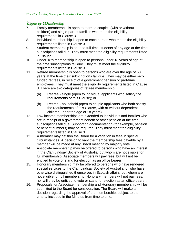## **Types of Membership**

- 7. Family membership is open to married couples (with or without children) and single-parent families who meet the eligibility requirements in Clause 3.
- 8. Individual membership is open to each person who meets the eligibility requirements listed in Clause 3.
- 9. Student membership is open to full-time students of any age at the time subscriptions fall due. They must meet the eligibility requirements listed in Clause 3.
- 10. Under 18's membership is open to persons under 18 years of age at the time subscriptions fall due. They must meet the eligibility requirements listed in Clause 3.
- 11. Retiree membership is open to persons who are over the age of 60 years at the time their subscriptions fall due. They may be either selffunded retirees, in receipt of a government pension or part-time employees. They must meet the eligibility requirements listed in Clause 3. There are two categories of retiree membership:
	- (a) Retiree single (open to individual applicants who satisfy the requirements of this Clause); or
	- (b) Retiree household (open to couple applicants who both satisfy the requirements of this Clause, with or without dependent children under the age of 18 years).
- 12. Low income memberships are extended to individuals and families who are in receipt of a government benefit or other pension at the time subscriptions fall due. Supporting documentation (for example, pension or benefit numbers) may be required. They must meet the eligibility requirements listed in Clause 3.
- 13. A member may petition the Board for a variation in fees in special circumstances. A decision to vary the membership fees payable by a member will be made at any Board meeting by majority vote.
- 14. Associate membership may be offered to persons who have an interest in the Clan Lindsay Society of Australia, but whom are not eligible for full membership. Associate members will pay fees, but will not be entitled to vote or stand for election as an office bearer.
- 15. Honorary membership may be offered to persons who have rendered special services to the Clan Lindsay Society of Australia, or who have otherwise distinguished themselves in Scottish affairs, but whom are not eligible for full membership. Honorary members will not pay fees, nor will they be entitled to vote or stand for election as an office bearer.
- 16. Proposals for Associate membership and Honorary membership will be submitted to the Board for consideration. The Board will make a decision regarding the approval of the membership, subject to the criteria included in the Minutes from time to time.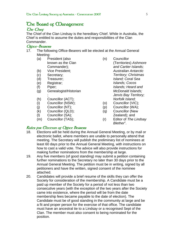# **The Board of Management**

### **The Chief**

The Chief of the Clan Lindsay is the hereditary Chief. While in Australia, the Chief is entitled to assume the duties and responsibilities of the Clan Commander.

### **Office-Bearers**

- 17. The following Office-Bearers will be elected at the Annual General Meeting:
	- (a) President (also known as the Clan Commander);
	- (b) Vice President;
	- (c) Secretary;
	- (d) Treasurer;
	- (e) Registrar;
	- (f) Piper;
	- (g) Genealogist/Historian ;
	- (h) Councillor (ACT);
	- (i) Councillor (NSW);
	- (j) Councillor (NT);
	- (k) Councillor (QLD);
	- (l) Councillor (SA);
	- (m) Councillor (TAS);
- (n) Councillor (Territories) *Ashmore and Cartier Islands; Australian Antarctic* 
	- *Territory; Christmas Island; Coral Sea Islands; Cocos Islands; Heard and McDonald Islands; Jervis Bay Territory; Norfolk Island;*
	- (o) Councillor (VIC);
	- (p) Councillor (WA);
	- (q) Councillor (New Zealand); and
	- (r) Editor of *The Lindsay Blether*".

### **Rules for Election of Office Bearers**

- 18. Elections will be held during the Annual General Meeting, or by mail or electronic ballot, where members are unable to personally attend that meeting. The Secretary will publish the preliminary list of nominees at least 60 days prior to the Annual General Meeting, with instructions on how to cast a valid vote. The advice will also provide instructions for making further nominations from the membership at large.
- 19. Any five members (of good standing) may submit a petition containing further nominations to the Secretary no later than 30 days prior to the Annual General Meeting. The petition must be in writing, signed by all petitioners and have the written, signed consent of the nominee attached.
- 20. Candidates will provide a brief resume of the skills they can offer the Society for consideration of the membership. A Candidate must be a paid up member of the Society for a period of not less than two consecutive years (with the exception of the two years after the Society came into existence, where the period will be from the date membership fees became payable to the date of election). The Candidate must be of good standing in the community at large and be a fit and proper person for the exercise of that office. The candidate must have an ancestral tie to a Lindsay or a recognised Sept of the Clan. The member must also consent to being nominated for the position.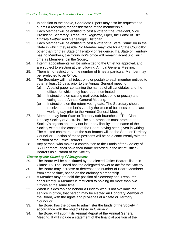- 21. In addition to the above, Candidate Pipers may also be requested to submit a recording for consideration of the membership.
- 22. Each Member will be entitled to cast a vote for the President, Vice President, Secretary, Treasurer, Registrar, Piper, the Editor of *The Lindsay Blether* and Genealogist/Historian.
- 23. Each Member will be entitled to cast a vote for a State Councillor in the State in which they reside. No Member may vote for a State Councillor other than for their State or Territory of residence. If a State or Territory has no Members, the Councillor's office will remain vacant until such time as Members join the Society.
- 24. Interim appointments will be submitted to the Chief for approval, and are subject to election at the following Annual General Meeting.
- 25. There is no restriction of the number of times a particular Member may be re-elected to an Office.
- 26. The Secretary will mail (electronic or postal) to each member entitled to vote, at least 15 days prior to the Annual General meeting:
	- (a) A ballot paper containing the names of all candidates and the offices for which they have been nominated
	- (b) Instructions on casting mail votes (electronic or postal) and voting at the Annual General Meeting.
	- (c) Instructions on the return voting date. The Secretary should receive the member's vote by the close of business on the last working day prior to the Annual General Meeting.
- 27. Members may form State or Territory sub-branches of The Clan Lindsay Society of Australia. The sub-branches must promote the Society's objects and may not incur any liability in the name of the Society without the consent of the Board having been given in writing. The elected chairperson of the sub-branch will be the State or Territory Councillor. Election of these positions will be held concurrently with the election of the Office Bearers.
- 28. Any person, who makes a contribution to the Funds of the Society of \$500 or more, shall have their name recorded in the list of Office-Bearers as a Patron of the Society.

# **Duties of the Board of Management**

- 29. The Board will be constituted by the elected Office-Bearers listed in Clause 16. The Board has the delegated power to act for the Society.
- 30. The Board may increase or decrease the number of Board Members from time to time, based on the ordinary Membership.
- 31. A Member may not hold the position of Secretary and Treasurer concurrently. A Member is restricted to holding no more than two Offices at the same time.
- 32. When it is desirable to honour a Lindsay who is not available for service in office, that person may be elected an Honorary Member of the Board, with the rights and privileges of a State or Territory Councillor.
- 33. The Board has the power to administer the funds of the Society in accordance with the objects listed in Clause 2.
- 34. The Board will submit its Annual Report at the Annual General Meeting. It will include a statement of the financial position of the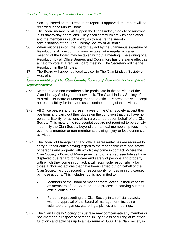Society, based on the Treasurer's report. If approved, the report will be recorded in the Minute Book.

- 35. The Board members will support the Clan Lindsay Society of Australia in its day-to-day operations. They shall communicate with each other and the members in such a way as to ensure the smooth administration of the Clan Lindsay Society of Australia.
- 36. When out of session, the Board may act by the unanimous signature of Resolutions. Any action that may be taken at a regular or called meeting of the Board may be taken without a meeting. The signing of a Resolution by all Office Bearers and Councillors has the same effect as a majority vote at a regular Board meeting. The Secretary will file the Resolution in the Minutes.
- 37. The Board will appoint a legal advisor to The Clan Lindsay Society of Australia.

# **Limited liability of the Clan Lindsay Society of Australia and its official representatives**

- 37A. Members and non-members alike participate in the activities of the Clan Lindsay Society at their own risk. The Clan Lindsay Society of Australia, its Board of Management and official Representatives accept no responsibility for injury or loss sustained during clan activities.
- 37B. All Office bearers and representatives of the Clan Society accept their positions and carry out their duties on the condition that they have no personal liability for actions which are carried out on behalf of the Clan Society. This means the representatives are not required to personally indemnify the Clan Society beyond their annual membership fees in the event of a member or non-member sustaining injury or loss during clan activities.
- 37C. The Board of Management and official representatives are required to carry out their duties having regard to the reasonable care and safety of persons and property with which they come in contact. Where the Clan Society's Board of Management and official representatives have displayed due regard to the care and safety of persons and property with which they come in contact, it will retain sole responsibility for those authorised actions that have been carried out on behalf of the Clan Society, without accepting responsibility for loss or injury caused by those actions. This includes, but is not limited to:
	- Members of the Board of management, acting in their capacity as members of the Board or in the process of carrying out their official duties; and
	- Persons representing the Clan Society in an official capacity, with the approval of the Board of management, including volunteers at games, gatherings, picnics and meetings.
- 37D. The Clan Lindsay Society of Australia may compensate any member or non-member in respect of personal injury or loss occurring at its official functions and activities up to a maximum of \$500. The Clan Society in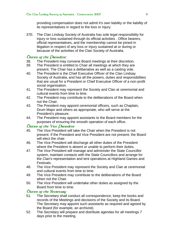providing compensation does not admit it's own liability or the liability of its representatives in regard to the loss or injury.

37E. The Clan Lindsay Society of Australia has sole legal responsibility for injury or loss sustained through its official activities . Office bearers, official representatives, and the membership cannot be joined in litigation in respect of any loss or injury sustained at or during or because of the activities of the Clan Society of Australia.

### **Duties of the President**

- 38. The President may convene Board meetings at their discretion.
- 39. The President is entitled to Chair all meetings at which they are present. The Chair has a deliberative as well as a casting vote.
- 40. The President is the Chief Executive Officer of the Clan Lindsay Society of Australia, and has all the powers, duties and responsibilities that are usual for a President or Chief Executive Officer of a non-profit social organisation.
- 41. The President may represent the Society and Clan at ceremonial and cultural events from time to time.
- 42. The President may contribute to the deliberations of the Board when not the Chair.
- 43. The President may appoint ceremonial officers, such as Chaplain, Drum Major and others as appropriate, who will serve at the President's pleasure.
- 44. The President may appoint assistants to the Board members for the purposes of ensuring the smooth operation of each office.

### **Duties of the Vice President**

- 45. The Vice President will take the Chair when the President is not present. If the President and Vice President are not present, the Board will elect the chair.
- 46. The Vice President will discharge all other duties of the President where the President is absent or unable to perform their duties.
- 47. The Vice President will manage and administer the State Councillor system, maintain contacts with the State Councillors and arrange for the Clan's representation and tent operations at Highland Games and Festivals.
- 48. The Vice President may represent the Society and Clan at ceremonial and cultural events from time to time.
- 49. The Vice President may contribute to the deliberations of the Board when not the Chair.
- 50. The Vice President will undertake other duties as assigned by the Board from time to time.

# **Duties of the Secretary**

- 51. The Secretary shall conduct all correspondence, keep the books and records of the Meetings and decisions of the Society and its Board. The Secretary may appoint such assistants as required and agreed by the Board (for example, an archivist).
- 52. The Secretary will prepare and distribute agendas for all meetings 7 days prior to the meeting.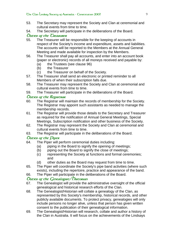- 53. The Secretary may represent the Society and Clan at ceremonial and cultural events from time to time.
- 54. The Secretary will participate in the deliberations of the Board.

# **Duties of the Treasurer**

- 55. The Treasurer will be responsible for the keeping of accounts in respect of the Society's income and expenditure, assets and liabilities. The accounts will be reported to the Members at the Annual General Meeting and made available for inspection by the Members.
- 56. The Treasurer shall pay all accounts, and enter into an account book (paper or electronic) records of all moneys received and payable by:
	- (a) the Trustees (see clause 96)
	- (b) the Treasurer
	- (c) the Treasurer on behalf of the Society.
- 57. The Treasurer shall send an electronic or printed reminder to all Members of when their subscription falls due.
- 58. The Treasurer may represent the Society and Clan at ceremonial and cultural events from time to time.
- 59. The Treasurer will participate in the deliberations of the Board.

# *Ducies of the Registrar*<br>60. The Registrar will n

- The Registrar will maintain the records of membership for the Society. The Registrar may appoint such assistants as needed to manage the membership records.
- 61. The Registrar will provide those details to the Secretary and Treasurer as required for the notification of Annual General Meetings, Special Meetings, Subscription notification and other business of the Society.
- 62. The Registrar may represent the Society and Clan at ceremonial and cultural events from time to time.
- 63. The Registrar will participate in the deliberations of the Board.

# **Duties of the Piper**

- 64. The Piper will perform ceremonial duties including:
	- (a) piping in the Board to signify the opening of meetings;
	- (b) piping out the Board to signify the close of meetings;
	- (c) representing the Society at functions and formal ceremonies; and
	- (d) other duties as the Board may request from time to time.
- 65. The Piper will coordinate the Society's pipe band activities (where such exists), including the repertoire, practice and appearance of the band.
- 66. The Piper will participate in the deliberations of the Board.

# **Duties of the Genealogist/Historian**

- 67. The Genealogist will provide the administrative oversight of the official genealogical and historical research efforts of the Clan.
- 68. The Genealogist/Historian will collate a genealogy of the Clan, as represented by this Society's membership, historical records, and other publicly available documents. To protect privacy, genealogies will only include persons no longer alive, unless that person has given written consent to the publication of their genealogical information.
- 69. The Genealogist/Historian will research, collate and author a history of the Clan in Australia. It will focus on the achievements of the Lindsays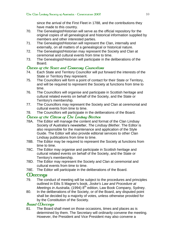since the arrival of the First Fleet in 1788, and the contributions they have made to this country.

- 70. The Genealogist/Historian will serve as the official repository for the original copies of all genealogical and historical information supplied by members and other interested parties.
- 71. The Genealogist/Historian will represent the Clan, internally and externally, on all matters of a genealogical or historical nature.
- 72. The Genealogist/Historian may represent the Society and Clan at ceremonial and cultural events from time to time.
- 73. The Genealogist/Historian will participate in the deliberations of the Board.

# **Duties of the State and Territory Councillors**

- 74. Each State and Territory Councillor will put forward the interests of the State or Territory they represent.
- 75. The Councillors will form a point of contact for their State or Territory, and will be required to represent the Society at functions from time to time.
- 76. The Councillors will organise and participate in Scottish heritage and cultural related events on behalf of the Society, and the State or Territory's membership.
- 77. The Councillors may represent the Society and Clan at ceremonial and cultural events from time to time.
- 78. The Councillors will participate in the deliberations of the Board.

# **Duties of the Editor of The Lindsay Blether**

- 78A. The Editor will manage the content and format of the Clan Lindsay Society of Australia's newsletter, *The Lindsay Blether*. The Editor is also responsible for the maintenance and application of the Style Guide. The Editor will also provide editorial services to other Clan Lindsay publications from time to time.
- 78B. The Editor may be required to represent the Society at functions from time to time.
- 78C. The Editor may organise and participate in Scottish heritage and cultural related events on behalf of the Society, and the State or Territory's membership.
- 78D. The Editor may represent the Society and Clan at ceremonial and cultural events from time to time.
- 78E. The Editor will participate in the deliberations of the Board.

# **CDeecings**<br>79. The co

- The conduct of meeting will be subject to the procedures and principles outlined in Eilis S Magner's book, *Joske's Law and Procedure at Meetings in Australia*, (1994) 8th edition, Law Book Company, Sydney.
- 80. In the deliberations of the Society, or of the Board, any disputed point shall be decided by a majority of votes, unless otherwise provided for by the Constitution of the Society.

# **Board** *CDeetings*

81. The Board shall meet on those occasions, times and places as is determined by them. The Secretary will ordinarily convene the meeting. However, the President and Vice President may also convene a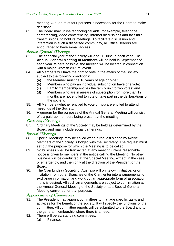meeting. A quorum of four persons is necessary for the Board to make decisions.

82. The Board may utilise technological aids (for example, telephone conferencing, video conferencing, Internet discussions and facsimile transmissions) to hold its meetings. To facilitate discussion and interaction in such a dispersed community, all Office Bearers are encouraged to have e-mail access.

# **Annual General Meetings**

- 83. The financial year of the Society will end 30 June in each year. The **Annual General Meeting of Members** will be held in September of each year. Where possible, the meeting will be located in connection with a major Scottish cultural event.
- 84. All Members will have the right to vote in the affairs of the Society subject to the following conditions:
	- (a) the Member must be 18 years of age or older;
	- (b) Members who pay an individual subscription have one vote;
	- (c) Family membership entitles the family unit to two votes; and
	- (d) Members who are in arrears of subscription for more than 12 months are not entitled to vote or take part in the deliberations of the society.
- 85. All Members (whether entitled to vote or not) are entitled to attend meetings of the Society.
- 86. A quorum for the purposes of the Annual General Meeting will consist of six paid-up members being present at the meeting.

# **Ordinary Meetings**

87. Ordinary Meetings of the Society may be held as determined by the Board, and may include social gatherings.

# **Special Meetings**

- 88. Special Meetings may be called when a request signed by twelve Members of the Society is lodged with the Secretary. The request must set out the purpose for which the Meeting is to be called.
- 89. No business shall be transacted at any meeting unless reasonable notice is given to members in the notice calling the Meeting. No other business will be conducted at the Special Meeting, except in the case of emergency, and then only at the direction of the President or the Board.
- 90. The Clan Lindsay Society of Australia will on its own initiative, or on invitation from other Branches of the Clan, enter into arrangements to exchange information and work out an appropriate form of association if this is desired. All such arrangements are subject to confirmation at the Annual General Meeting of the Society or at a Special General Meeting convened for that purpose.

# **Appointment** of *Committees*

- 91. The President may appoint committees to manage specific tasks and activities for the benefit of the society. It will specify the functions of the committee. All committee reports will be submitted to the Board and to the general membership where there is a need.
- 92. There will be six standing committees:
	- (a) Finance;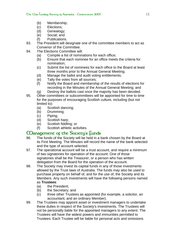- (b) Membership;
- (c) Elections;
- (d) Genealogy;
- (e) Social; and
- (f) Publications.
- 93. The President will designate one of the committee members to act as Convenor of the Committee.
- 94. The Elections Committee will:
	- (a) Compile a list of nominations for each office;
	- (b) Ensure that each nominee for an office meets the criteria for nomination;
	- (c) Submit the list of nominees for each office to the Board at least three months prior to the Annual General Meeting;
	- (d) Manage the ballot and audit voting entitlements;
	- (e) Tally the votes from all sources;
	- (f) Notify the Board and membership of the results of elections for recording in the Minutes of the Annual General Meeting; and
	- (g) Destroy the ballots cast once the majority has been decided.
- 95. Other committees or subcommittees will be appointed for time to time for the purposes of encouraging Scottish culture, including (but not limited to):
	- (a) Scottish dancing;
	- (b) Drumming;
	- (c) Piping;
	- (d) Scottish harp;
	- (e) Scottish fiddling; or
	- (f) Scottish athletic activities.

# **Management of the Society's Lunds**<br>96. The funds of the Society will be held in a l

- The funds of the Society will be held in a bank chosen by the Board at its First Meeting. The Minutes will record the name of the bank selected and the type of account selected.
- 97. The operational account will be a trust account, and require a minimum of two signatories for operation of the account. One of those signatories shall be the Treasurer, or a person who has written delegation from the Board for the operation of the account.
- 98. The Society may invest its capital funds in any of those investments allowed by the Trust laws of Australia. The funds may also be used to purchase property on behalf of, and for the use of, the Society and its Members. Any such investments will have the following persons named as **Trustees**:
	- (a) the President;
	- (b) the Secretary; and
	- (c) three other Trustees as appointed (for example, a solicitor, an accountant, and an ordinary Member).
- 99. The Trustees may appoint asset or investment managers to undertake these duties in respect of the Society's investments. The Trustees will not be personally liable for the appointed managers to any extent. The Trustees will have the widest powers and immunities permitted to Trustees. Each Trustee will be liable for personal acts and omissions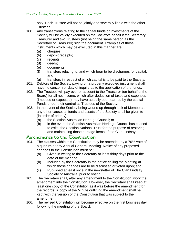only. Each Trustee will not be jointly and severally liable with the other Trustees.

- 100. Any transactions relating to the capital funds or investments of the Society will be validly executed on the Society's behalf if the Secretary, Treasurer and two Trustees (not being the same person as the Secretary or Treasurer) sign the document. Examples of those instruments which may be executed in this manner are:
	- (a) cheques;
	- (b) deposit receipts;
	- (c) receipts ;
	- (d) deeds;
	- (e) documents;
	- (f) transfers relating to, and which bear to be discharges for capital; and
	- (g) transfers in respect of which capital is to be paid to the Society.
- 101. Debtors of the Society paying on a properly executed instrument shall have no concern or duty of inquiry as to the application of the funds.
- 102. The Trustees will pay over or account to the Treasurer (on behalf of the Board) for all net income, which after deduction of taxes and expenses (imposed or expected) may have actually been earned by the capital Funds under their control as Trustees of the Society.
- 103. In the event of the Society being wound up through lack of Members or any other cause, all funds and assets of the Society shall be given to (in order of priority):
	- (a) the Scottish Australian Heritage Council; or
	- (b) in the event the Scottish Australian Heritage Council has ceased to exist, the Scottish National Trust for the purpose of restoring and maintaining those heritage items of the Clan Lindsay.

# **Amendments to the Constitution**

- 104. The clauses within this Constitution may be amended by a 70% vote of a quorum at any Annual General Meeting. Notice of any proposed changes to the Constitution must be:
	- (a) Given in writing to the Secretary at least thirty days prior to the date of the meeting;
	- (b) Included by the Secretary in the notice calling the Meeting at which those changes are to be discussed or voted upon; and
	- (c) Published at least once in the newsletter of The Clan Lindsay Society of Australia, prior to voting.
- 105. The Secretary shall, after any amendment to the Constitution, work the amendment into the Constitution. However, the Secretary shall keep at least one copy of the Constitution as it was before the amendment for the records. A copy of the Minute outlining the amendment shall be kept with the version of the Constitution that was subject to the amendment.
- 106. The revised Constitution will become effective on the first business day following the meeting of the Board.